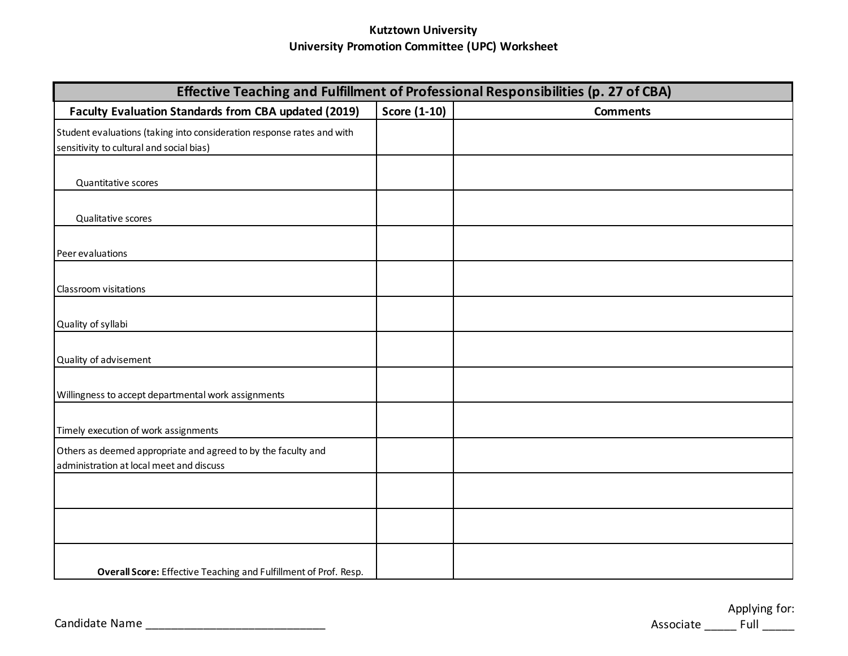## **Kutztown University University Promotion Committee (UPC) Worksheet**

| Effective Teaching and Fulfillment of Professional Responsibilities (p. 27 of CBA)                                 |                     |                 |  |
|--------------------------------------------------------------------------------------------------------------------|---------------------|-----------------|--|
| <b>Faculty Evaluation Standards from CBA updated (2019)</b>                                                        | <b>Score (1-10)</b> | <b>Comments</b> |  |
| Student evaluations (taking into consideration response rates and with<br>sensitivity to cultural and social bias) |                     |                 |  |
| Quantitative scores                                                                                                |                     |                 |  |
| Qualitative scores                                                                                                 |                     |                 |  |
| Peer evaluations                                                                                                   |                     |                 |  |
| Classroom visitations                                                                                              |                     |                 |  |
| Quality of syllabi                                                                                                 |                     |                 |  |
| Quality of advisement                                                                                              |                     |                 |  |
| Willingness to accept departmental work assignments                                                                |                     |                 |  |
| Timely execution of work assignments                                                                               |                     |                 |  |
| Others as deemed appropriate and agreed to by the faculty and<br>administration at local meet and discuss          |                     |                 |  |
|                                                                                                                    |                     |                 |  |
|                                                                                                                    |                     |                 |  |
| Overall Score: Effective Teaching and Fulfillment of Prof. Resp.                                                   |                     |                 |  |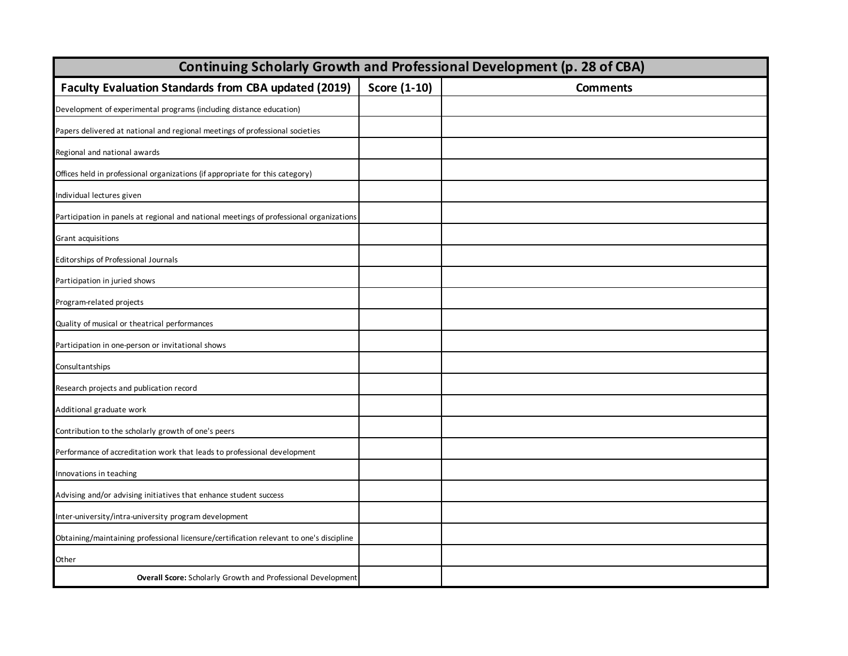| Continuing Scholarly Growth and Professional Development (p. 28 of CBA)                 |              |                 |  |
|-----------------------------------------------------------------------------------------|--------------|-----------------|--|
| <b>Faculty Evaluation Standards from CBA updated (2019)</b>                             | Score (1-10) | <b>Comments</b> |  |
| Development of experimental programs (including distance education)                     |              |                 |  |
| Papers delivered at national and regional meetings of professional societies            |              |                 |  |
| Regional and national awards                                                            |              |                 |  |
| Offices held in professional organizations (if appropriate for this category)           |              |                 |  |
| Individual lectures given                                                               |              |                 |  |
| Participation in panels at regional and national meetings of professional organizations |              |                 |  |
| Grant acquisitions                                                                      |              |                 |  |
| Editorships of Professional Journals                                                    |              |                 |  |
| Participation in juried shows                                                           |              |                 |  |
| Program-related projects                                                                |              |                 |  |
| Quality of musical or theatrical performances                                           |              |                 |  |
| Participation in one-person or invitational shows                                       |              |                 |  |
| Consultantships                                                                         |              |                 |  |
| Research projects and publication record                                                |              |                 |  |
| Additional graduate work                                                                |              |                 |  |
| Contribution to the scholarly growth of one's peers                                     |              |                 |  |
| Performance of accreditation work that leads to professional development                |              |                 |  |
| Innovations in teaching                                                                 |              |                 |  |
| Advising and/or advising initiatives that enhance student success                       |              |                 |  |
| Inter-university/intra-university program development                                   |              |                 |  |
| Obtaining/maintaining professional licensure/certification relevant to one's discipline |              |                 |  |
| Other                                                                                   |              |                 |  |
| <b>Overall Score:</b> Scholarly Growth and Professional Development                     |              |                 |  |